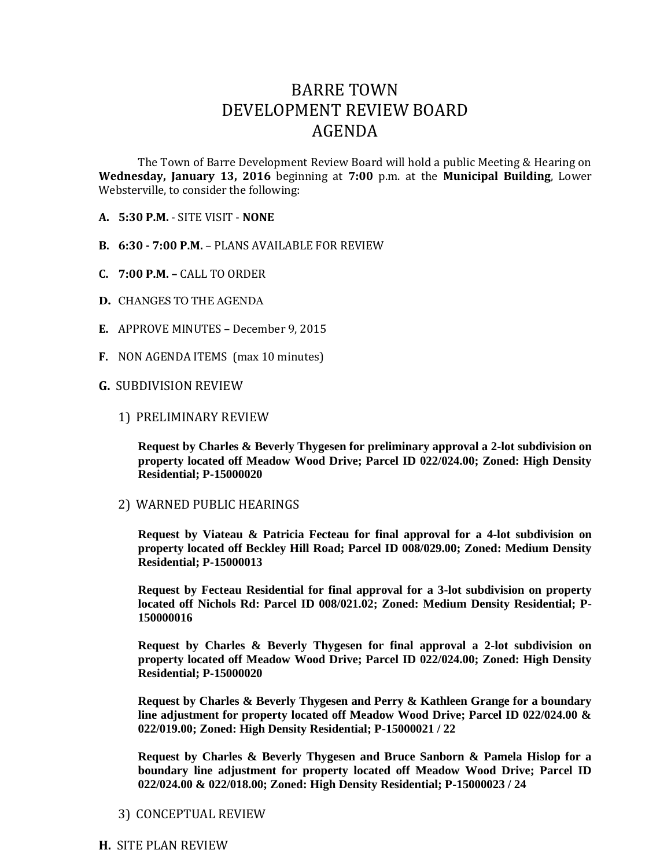## BARRE TOWN DEVELOPMENT REVIEW BOARD AGENDA

The Town of Barre Development Review Board will hold a public Meeting & Hearing on **Wednesday, January 13, 2016** beginning at **7:00** p.m. at the **Municipal Building**, Lower Websterville, to consider the following:

- **A. 5:30 P.M.** SITE VISIT **NONE**
- **B. 6:30 - 7:00 P.M.** PLANS AVAILABLE FOR REVIEW
- **C. 7:00 P.M. –** CALL TO ORDER
- **D.** CHANGES TO THE AGENDA
- **E.** APPROVE MINUTES December 9, 2015
- **F.** NON AGENDA ITEMS (max 10 minutes)

## **G.** SUBDIVISION REVIEW

1) PRELIMINARY REVIEW

**Request by Charles & Beverly Thygesen for preliminary approval a 2-lot subdivision on property located off Meadow Wood Drive; Parcel ID 022/024.00; Zoned: High Density Residential; P-15000020**

2) WARNED PUBLIC HEARINGS

**Request by Viateau & Patricia Fecteau for final approval for a 4-lot subdivision on property located off Beckley Hill Road; Parcel ID 008/029.00; Zoned: Medium Density Residential; P-15000013**

**Request by Fecteau Residential for final approval for a 3-lot subdivision on property located off Nichols Rd: Parcel ID 008/021.02; Zoned: Medium Density Residential; P-150000016** 

**Request by Charles & Beverly Thygesen for final approval a 2-lot subdivision on property located off Meadow Wood Drive; Parcel ID 022/024.00; Zoned: High Density Residential; P-15000020**

**Request by Charles & Beverly Thygesen and Perry & Kathleen Grange for a boundary line adjustment for property located off Meadow Wood Drive; Parcel ID 022/024.00 & 022/019.00; Zoned: High Density Residential; P-15000021 / 22**

**Request by Charles & Beverly Thygesen and Bruce Sanborn & Pamela Hislop for a boundary line adjustment for property located off Meadow Wood Drive; Parcel ID 022/024.00 & 022/018.00; Zoned: High Density Residential; P-15000023 / 24**

3) CONCEPTUAL REVIEW

**H.** SITE PLAN REVIEW